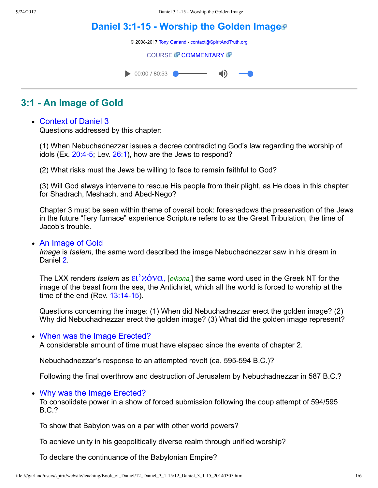# **Daniel 3:1-15 - Worship the Golden Image**

© 2008-2017 [Tony Garland](file:///garland/users/spirit/website/teaching/teachers/tony_garland/bio.htm) - [contact@SpiritAndTruth.org](mailto:contact@SpiritAndTruth.org?subject=ST-MAIL:%20Daniel%203:1-15%20-%20Worship%20the%20Golden%20Image)

#### **[COURSE](file:///garland/users/spirit/website/teaching/Book_of_Daniel/12_Daniel_3_1-15/index.htm) & [COMMENTARY](file:///garland/users/spirit/website/teaching/Book_of_Daniel/commentary/htm/index.html?Daniel_3:1) &**

 $\bullet$  00:00 / 80:53  $\blacksquare$ 

# **3:1 An Image of Gold**

# Context of Daniel [3](http://www.spiritandtruth.org/bibles/nasb/b27c003.htm#Dan._C3V1)

Questions addressed by this chapter:

(1) When Nebuchadnezzar issues a decree contradicting God's law regarding the worship of idols (Ex.  $20:4-5$ ; Lev.  $26:1$ ), how are the Jews to respond?

(2) What risks must the Jews be willing to face to remain faithful to God?

(3) Will God always intervene to rescue His people from their plight, as He does in this chapter for Shadrach, Meshach, and Abed-Nego?

Chapter 3 must be seen within theme of overall book: foreshadows the preservation of the Jews in the future "fiery furnace" experience Scripture refers to as the Great Tribulation, the time of Jacob's trouble.

#### An Image of Gold

*Image* is *tselem*, the same word described the image Nebuchadnezzar saw in his dream in Daniel [2](http://www.spiritandtruth.org/bibles/nasb/b27c002.htm#Dan._C2V1).

The LXX renders *tselem* as ει' *λ*όνα, [*eikona*,] the same word used in the Greek NT for the image of the beast from the sea, the Antichrist, which all the world is forced to worship at the time of the end (Rev.  $13:14-15$ ).

Questions concerning the image: (1) When did Nebuchadnezzar erect the golden image? (2) Why did Nebuchadnezzar erect the golden image? (3) What did the golden image represent?

### When was the Image Erected?

A considerable amount of time must have elapsed since the events of chapter 2.

Nebuchadnezzar's response to an attempted revolt (ca. 595594 B.C.)?

Following the final overthrow and destruction of Jerusalem by Nebuchadnezzar in 587 B.C.?

### Why was the Image Erected?

To consolidate power in a show of forced submission following the coup attempt of 594/595 B.C.?

To show that Babylon was on a par with other world powers?

To achieve unity in his geopolitically diverse realm through unified worship?

To declare the continuance of the Babylonian Empire?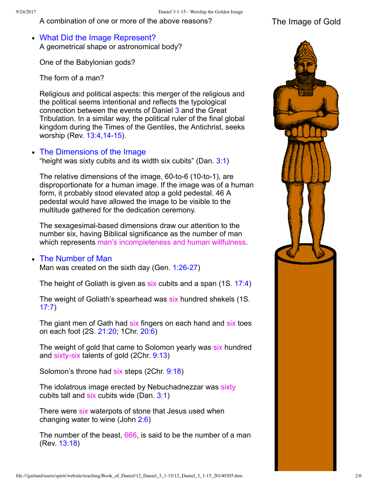A combination of one or more of the above reasons? The Image of Gold

What Did the Image Represent? A geometrical shape or astronomical body?

One of the Babylonian gods?

The form of a man?

Religious and political aspects: this merger of the religious and the political seems intentional and reflects the typological connection between the events of Daniel [3](http://www.spiritandtruth.org/bibles/nasb/b27c003.htm#Dan._C3V1) and the Great Tribulation. In a similar way, the political ruler of the final global kingdom during the Times of the Gentiles, the Antichrist, seeks worship (Rev. [13:4](http://www.spiritandtruth.org/bibles/nasb/b66c013.htm#Rev._C13V4), 14-15).

## • The Dimensions of the Image

"height was sixty cubits and its width six cubits" (Dan. [3:1](http://www.spiritandtruth.org/bibles/nasb/b27c003.htm#Dan._C3V1))

The relative dimensions of the image,  $60$ -to- $6$  (10-to-1), are disproportionate for a human image. If the image was of a human form, it probably stood elevated atop a gold pedestal. 46 A pedestal would have allowed the image to be visible to the multitude gathered for the dedication ceremony.

The sexagesimal-based dimensions draw our attention to the number six, having Biblical significance as the number of man which represents man's incompleteness and human willfulness.

#### • The Number of Man

Man was created on the sixth day (Gen.  $1:26-27$ )

The height of Goliath is given as six cubits and a span (1S. [17:4](http://www.spiritandtruth.org/bibles/nasb/b09c017.htm#1S._C17V4))

The weight of Goliath's spearhead was six hundred shekels (1S. [17:7](http://www.spiritandtruth.org/bibles/nasb/b09c017.htm#1S._C17V7))

The giant men of Gath had six fingers on each hand and six toes on each foot (2S. [21:20;](http://www.spiritandtruth.org/bibles/nasb/b10c021.htm#2S._C21V20) 1Chr. [20:6\)](http://www.spiritandtruth.org/bibles/nasb/b13c020.htm#1Chr._C20V6)

The weight of gold that came to Solomon yearly was six hundred and sixty-six talents of gold  $(2Chr. 9:13)$  $(2Chr. 9:13)$ 

Solomon's throne had six steps (2Chr. [9:18\)](http://www.spiritandtruth.org/bibles/nasb/b14c009.htm#2Chr._C9V18)

The idolatrous image erected by Nebuchadnezzar was sixty cubits tall and six cubits wide (Dan. [3:1\)](http://www.spiritandtruth.org/bibles/nasb/b27c003.htm#Dan._C3V1)

There were six waterpots of stone that Jesus used when changing water to wine (John [2:6](http://www.spiritandtruth.org/bibles/nasb/b43c002.htm#John_C2V6))

The number of the beast, 666, is said to be the number of a man (Rev. [13:18\)](http://www.spiritandtruth.org/bibles/nasb/b66c013.htm#Rev._C13V18)

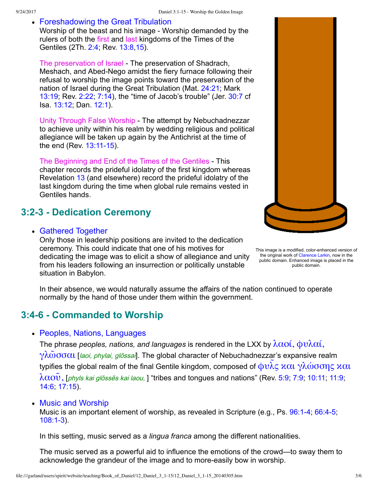### Foreshadowing the Great Tribulation

Worship of the beast and his image - Worship demanded by the rulers of both the first and last kingdoms of the Times of the Gentiles (2Th. [2:4](http://www.spiritandtruth.org/bibles/nasb/b53c002.htm#2Th._C2V4); Rev. [13:8](http://www.spiritandtruth.org/bibles/nasb/b66c013.htm#Rev._C13V8)[,15\)](http://www.spiritandtruth.org/bibles/nasb/b66c013.htm#Rev._C13V15).

The preservation of Israel The preservation of Shadrach, Meshach, and Abed-Nego amidst the fiery furnace following their refusal to worship the image points toward the preservation of the nation of Israel during the Great Tribulation (Mat. [24:21;](http://www.spiritandtruth.org/bibles/nasb/b40c024.htm#Mat._C24V21) Mark [13:19](http://www.spiritandtruth.org/bibles/nasb/b41c013.htm#Mark_C13V19); Rev. [2:22](http://www.spiritandtruth.org/bibles/nasb/b66c002.htm#Rev._C2V22); [7:14](http://www.spiritandtruth.org/bibles/nasb/b66c007.htm#Rev._C7V14)), the "time of Jacob's trouble" (Jer. [30:7](http://www.spiritandtruth.org/bibles/nasb/b24c030.htm#Jer._C30V7) cf Isa. [13:12;](http://www.spiritandtruth.org/bibles/nasb/b23c013.htm#Isa._C13V12) Dan. [12:1\)](http://www.spiritandtruth.org/bibles/nasb/b27c012.htm#Dan._C12V1).

Unity Through False Worship - The attempt by Nebuchadnezzar to achieve unity within his realm by wedding religious and political allegiance will be taken up again by the Antichrist at the time of the end (Rev.  $13:11-15$ ).

The Beginning and End of the Times of the Gentiles - This chapter records the prideful idolatry of the first kingdom whereas Revelation [13](http://www.spiritandtruth.org/bibles/nasb/b66c013.htm#Rev._C13V1) (and elsewhere) record the prideful idolatry of the last kingdom during the time when global rule remains vested in Gentiles hands.

# **3:23 Dedication Ceremony**

#### Gathered Together

Only those in leadership positions are invited to the dedication ceremony. This could indicate that one of his motives for dedicating the image was to elicit a show of allegiance and unity from his leaders following an insurrection or politically unstable situation in Babylon.



In their absence, we would naturally assume the affairs of the nation continued to operate normally by the hand of those under them within the government.

# **3:46 Commanded to Worship**

• Peoples, Nations, Languages

The phrase *peoples, nations, and languages* is rendered in the LXX by  $\lambda \alpha o(i, \phi v) \lambda \alpha(i, \phi v)$  $γλωσσαι$  [laoi, phylai, glōssai]. The global character of Nebuchadnezzar's expansive realm typifies the global realm of the final Gentile kingdom, composed of  $\oint v\tilde{\lambda}$ ς και γλώσσης και  $\lambda \alpha$ OV, [phyls kai glōssēs kai laou, ] "tribes and tongues and nations" (Rev. [5:9;](http://www.spiritandtruth.org/bibles/nasb/b66c005.htm#Rev._C5V9) [7:9](http://www.spiritandtruth.org/bibles/nasb/b66c007.htm#Rev._C7V9); [10:11](http://www.spiritandtruth.org/bibles/nasb/b66c010.htm#Rev._C10V11); [11:9](http://www.spiritandtruth.org/bibles/nasb/b66c011.htm#Rev._C11V9); [14:6](http://www.spiritandtruth.org/bibles/nasb/b66c014.htm#Rev._C14V6); [17:15](http://www.spiritandtruth.org/bibles/nasb/b66c017.htm#Rev._C17V15)).

### • Music and Worship

Music is an important element of worship, as revealed in Scripture (e.g., Ps. 96:1-4, 66:4-5;  $108:1-3$ ).

In this setting, music served as a *lingua franca* among the different nationalities.

The music served as a powerful aid to influence the emotions of the crowd—to sway them to acknowledge the grandeur of the image and to more-easily bow in worship.

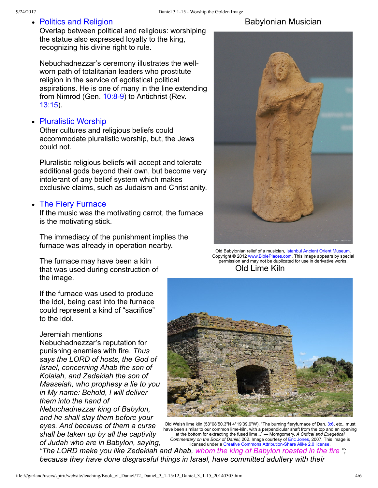• Politics and Religion

Overlap between political and religious: worshiping the statue also expressed loyalty to the king, recognizing his divine right to rule.

Nebuchadnezzar's ceremony illustrates the wellworn path of totalitarian leaders who prostitute religion in the service of egotistical political aspirations. He is one of many in the line extending from Nimrod (Gen.  $10:8-9$ ) to Antichrist (Rev. [13:15](http://www.spiritandtruth.org/bibles/nasb/b66c013.htm#Rev._C13V15)).

# • Pluralistic Worship

Other cultures and religious beliefs could accommodate pluralistic worship, but, the Jews could not.

Pluralistic religious beliefs will accept and tolerate additional gods beyond their own, but become very intolerant of any belief system which makes exclusive claims, such as Judaism and Christianity.

### • The Fiery Furnace

If the music was the motivating carrot, the furnace is the motivating stick.

The immediacy of the punishment implies the furnace was already in operation nearby.

The furnace may have been a kiln that was used during construction of the image.

If the furnace was used to produce the idol, being cast into the furnace could represent a kind of "sacrifice" to the idol.

#### Jeremiah mentions

Nebuchadnezzar's reputation for punishing enemies with fire. *Thus says the LORD of hosts, the God of Israel, concerning Ahab the son of Kolaiah, and Zedekiah the son of Maaseiah, who prophesy a lie to you in My name: Behold, I will deliver them into the hand of Nebuchadnezzar king of Babylon, and he shall slay them before your eyes. And because of them a curse shall be taken up by all the captivity of Judah who are in Babylon, saying,*

# Babylonian Musician



Old Lime Kiln [Old Babylonian relief of a musician,](file:///garland/users/spirit/website/teaching/Book_of_Daniel/12_Daniel_3_1-15/Old_Babylonian_relief_of_musician_adr1006054012.jpg) [Istanbul Ancient Orient Museum](http://www.istanbularkeoloji.gov.tr/ancient_orient_museum)[.](file:///garland/users/spirit/website/teaching/Book_of_Daniel/12_Daniel_3_1-15/Old_Babylonian_relief_of_musician_adr1006054012.jpg) Copyright © 2012 [www.BiblePlaces.com](http://www.bibleplaces.com/). This image appears by special permission and may not be duplicated for use in derivative works.



[Old Welsh lime kiln \(53°08'50.3"N 4°19'39.9"W\). "The burning fieryfurnace of Dan.](file:///garland/users/spirit/website/teaching/Book_of_Daniel/12_Daniel_3_1-15/The_old_lime_kiln_-_geograph.org.uk_-_525333.jpg) [3:6,](http://www.spiritandtruth.org/bibles/nasb/b27c003.htm#Dan._C3V6) [etc., must](file:///garland/users/spirit/website/teaching/Book_of_Daniel/12_Daniel_3_1-15/The_old_lime_kiln_-_geograph.org.uk_-_525333.jpg) have been similar to our common lime-kiln, with a perpendicular shaft from the top and an opening at the bottom for extracting the fused lime..." — Montgomery, *A Critical and Exegetical Commentary on the Book of Daniel,* 202. Image courtesy of [Eric Jones,](http://commons.wikimedia.org/wiki/File:The_old_lime_kiln_-_geograph.org.uk_-_525333.jpg) 2007. This image is licensed under a Creative Commons Attribution-Share Alike 2.0 license.

*"The LORD make you like Zedekiah and Ahab, whom the king of Babylon roasted in the fire "; because they have done disgraceful things in Israel, have committed adultery with their*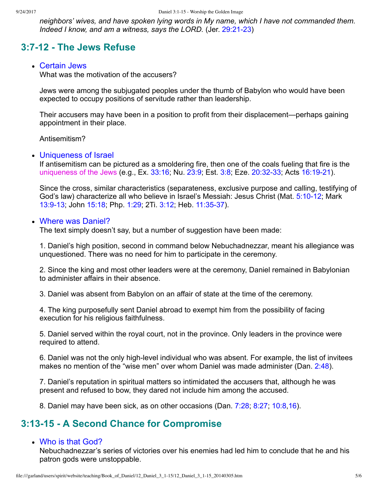*neighbors' wives, and have spoken lying words in My name, which I have not commanded them. Indeed I know, and am a witness, says the LORD.* (Jer. 29:21-23)

# **3:712 The Jews Refuse**

#### Certain Jews

What was the motivation of the accusers?

Jews were among the subjugated peoples under the thumb of Babylon who would have been expected to occupy positions of servitude rather than leadership.

Their accusers may have been in a position to profit from their displacement—perhaps gaining appointment in their place.

Antisemitism?

#### • Uniqueness of Israel

If antisemitism can be pictured as a smoldering fire, then one of the coals fueling that fire is the uniqueness of the Jews (e.g., Ex. [33:16](http://www.spiritandtruth.org/bibles/nasb/b02c033.htm#Ex._C33V16); Nu. [23:9;](http://www.spiritandtruth.org/bibles/nasb/b04c023.htm#Num._C23V9) Est. [3:8;](http://www.spiritandtruth.org/bibles/nasb/b17c003.htm#Est._C3V8) Eze. 20:32-33; Acts 16:19-21).

Since the cross, similar characteristics (separateness, exclusive purpose and calling, testifying of God's law) characterize all who believe in Israel's Messiah: Jesus Christ (Mat. 5:10-12; Mark 13:9-13; John [15:18;](http://www.spiritandtruth.org/bibles/nasb/b43c015.htm#John_C15V18) Php. [1:29;](http://www.spiritandtruth.org/bibles/nasb/b50c001.htm#Php._C1V29) 2Ti. [3:12;](http://www.spiritandtruth.org/bibles/nasb/b55c003.htm#2Ti._C3V12) Heb. 11:35-37).

#### • Where was Daniel?

The text simply doesn't say, but a number of suggestion have been made:

1. Daniel's high position, second in command below Nebuchadnezzar, meant his allegiance was unquestioned. There was no need for him to participate in the ceremony.

2. Since the king and most other leaders were at the ceremony, Daniel remained in Babylonian to administer affairs in their absence.

3. Daniel was absent from Babylon on an affair of state at the time of the ceremony.

4. The king purposefully sent Daniel abroad to exempt him from the possibility of facing execution for his religious faithfulness.

5. Daniel served within the royal court, not in the province. Only leaders in the province were required to attend.

6. Daniel was not the only high-level individual who was absent. For example, the list of invitees makes no mention of the "wise men" over whom Daniel was made administer (Dan. [2:48](http://www.spiritandtruth.org/bibles/nasb/b27c002.htm#Dan._C2V48)).

7. Daniel's reputation in spiritual matters so intimidated the accusers that, although he was present and refused to bow, they dared not include him among the accused.

8. Daniel may have been sick, as on other occasions (Dan. [7:28;](http://www.spiritandtruth.org/bibles/nasb/b27c007.htm#Dan._C7V28) [8:27;](http://www.spiritandtruth.org/bibles/nasb/b27c008.htm#Dan._C8V27) [10:8](http://www.spiritandtruth.org/bibles/nasb/b27c010.htm#Dan._C10V8)[,16\)](http://www.spiritandtruth.org/bibles/nasb/b27c010.htm#Dan._C10V16).

# **3:1315 A Second Chance for Compromise**

### Who is that God?

Nebuchadnezzar's series of victories over his enemies had led him to conclude that he and his patron gods were unstoppable.